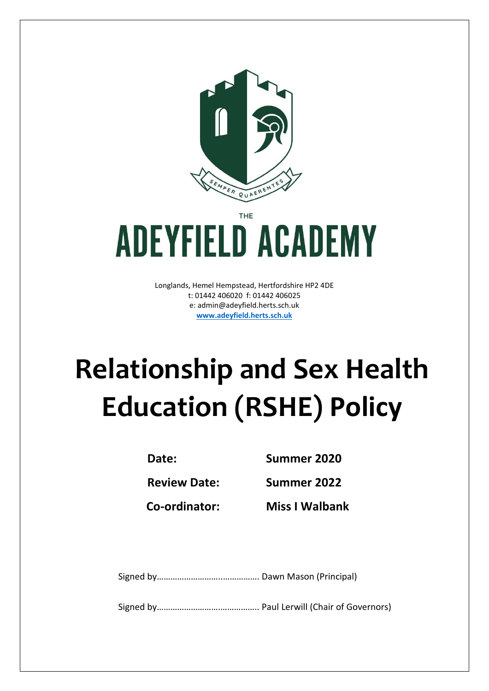

THF

# **ADEYFIELD ACADEMY**

Longlands, Hemel Hempstead, Hertfordshire HP2 4DE t: 01442 406020 f: 01442 406025 e: [admin@adeyfield.herts.sch.uk](mailto:admin@adeyfield.herts.sch.uk) **[www.adeyfield.herts.sch.uk](http://www.adeyfield.herts.sch.uk/)**

# **Relationship and Sex Health Education (RSHE) Policy**

**Date: Summer 2020**

**Review Date: Summer 2022**

**Co-ordinator: Miss I Walbank**

Signed by………………………..……………. Dawn Mason (Principal)

Signed by……………………….…………….. Paul Lerwill (Chair of Governors)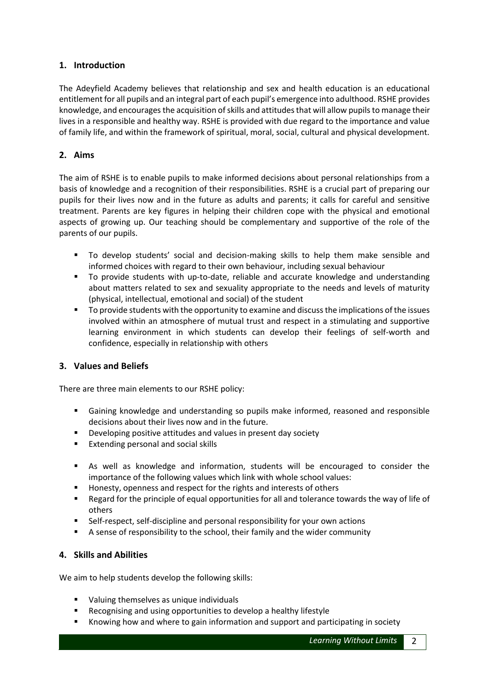# **1. Introduction**

The Adeyfield Academy believes that relationship and sex and health education is an educational entitlement for all pupils and an integral part of each pupil's emergence into adulthood. RSHE provides knowledge, and encourages the acquisition of skills and attitudes that will allow pupils to manage their lives in a responsible and healthy way. RSHE is provided with due regard to the importance and value of family life, and within the framework of spiritual, moral, social, cultural and physical development.

# **2. Aims**

The aim of RSHE is to enable pupils to make informed decisions about personal relationships from a basis of knowledge and a recognition of their responsibilities. RSHE is a crucial part of preparing our pupils for their lives now and in the future as adults and parents; it calls for careful and sensitive treatment. Parents are key figures in helping their children cope with the physical and emotional aspects of growing up. Our teaching should be complementary and supportive of the role of the parents of our pupils.

- To develop students' social and decision-making skills to help them make sensible and informed choices with regard to their own behaviour, including sexual behaviour
- To provide students with up-to-date, reliable and accurate knowledge and understanding about matters related to sex and sexuality appropriate to the needs and levels of maturity (physical, intellectual, emotional and social) of the student
- To provide students with the opportunity to examine and discuss the implications of the issues involved within an atmosphere of mutual trust and respect in a stimulating and supportive learning environment in which students can develop their feelings of self-worth and confidence, especially in relationship with others

# **3. Values and Beliefs**

There are three main elements to our RSHE policy:

- Gaining knowledge and understanding so pupils make informed, reasoned and responsible decisions about their lives now and in the future.
- Developing positive attitudes and values in present day society
- **Extending personal and social skills**
- As well as knowledge and information, students will be encouraged to consider the importance of the following values which link with whole school values:
- Honesty, openness and respect for the rights and interests of others
- Regard for the principle of equal opportunities for all and tolerance towards the way of life of others
- Self-respect, self-discipline and personal responsibility for your own actions
- A sense of responsibility to the school, their family and the wider community

# **4. Skills and Abilities**

We aim to help students develop the following skills:

- Valuing themselves as unique individuals
- Recognising and using opportunities to develop a healthy lifestyle
- Knowing how and where to gain information and support and participating in society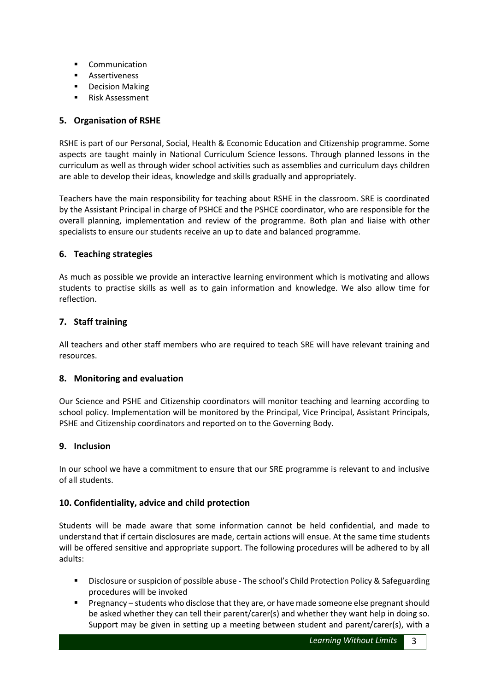- **•** Communication
- **Assertiveness**
- **•** Decision Making
- **Risk Assessment**

# **5. Organisation of RSHE**

RSHE is part of our Personal, Social, Health & Economic Education and Citizenship programme. Some aspects are taught mainly in National Curriculum Science lessons. Through planned lessons in the curriculum as well as through wider school activities such as assemblies and curriculum days children are able to develop their ideas, knowledge and skills gradually and appropriately.

Teachers have the main responsibility for teaching about RSHE in the classroom. SRE is coordinated by the Assistant Principal in charge of PSHCE and the PSHCE coordinator, who are responsible for the overall planning, implementation and review of the programme. Both plan and liaise with other specialists to ensure our students receive an up to date and balanced programme.

#### **6. Teaching strategies**

As much as possible we provide an interactive learning environment which is motivating and allows students to practise skills as well as to gain information and knowledge. We also allow time for reflection.

#### **7. Staff training**

All teachers and other staff members who are required to teach SRE will have relevant training and resources.

#### **8. Monitoring and evaluation**

Our Science and PSHE and Citizenship coordinators will monitor teaching and learning according to school policy. Implementation will be monitored by the Principal, Vice Principal, Assistant Principals, PSHE and Citizenship coordinators and reported on to the Governing Body.

#### **9. Inclusion**

In our school we have a commitment to ensure that our SRE programme is relevant to and inclusive of all students.

# **10. Confidentiality, advice and child protection**

Students will be made aware that some information cannot be held confidential, and made to understand that if certain disclosures are made, certain actions will ensue. At the same time students will be offered sensitive and appropriate support. The following procedures will be adhered to by all adults:

- Disclosure or suspicion of possible abuse The school's Child Protection Policy & Safeguarding procedures will be invoked
- Pregnancy students who disclose that they are, or have made someone else pregnant should be asked whether they can tell their parent/carer(s) and whether they want help in doing so. Support may be given in setting up a meeting between student and parent/carer(s), with a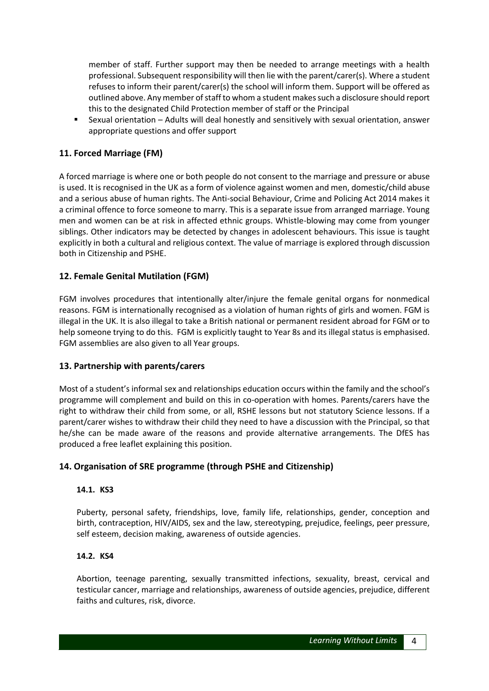member of staff. Further support may then be needed to arrange meetings with a health professional. Subsequent responsibility will then lie with the parent/carer(s). Where a student refuses to inform their parent/carer(s) the school will inform them. Support will be offered as outlined above. Any member of staff to whom a student makes such a disclosure should report this to the designated Child Protection member of staff or the Principal

 Sexual orientation – Adults will deal honestly and sensitively with sexual orientation, answer appropriate questions and offer support

# **11. Forced Marriage (FM)**

A forced marriage is where one or both people do not consent to the marriage and pressure or abuse is used. It is recognised in the UK as a form of violence against women and men, domestic/child abuse and a serious abuse of human rights. The Anti-social Behaviour, Crime and Policing Act 2014 makes it a criminal offence to force someone to marry. This is a separate issue from arranged marriage. Young men and women can be at risk in affected ethnic groups. Whistle-blowing may come from younger siblings. Other indicators may be detected by changes in adolescent behaviours. This issue is taught explicitly in both a cultural and religious context. The value of marriage is explored through discussion both in Citizenship and PSHE.

# **12. Female Genital Mutilation (FGM)**

FGM involves procedures that intentionally alter/injure the female genital organs for nonmedical reasons. FGM is internationally recognised as a violation of human rights of girls and women. FGM is illegal in the UK. It is also illegal to take a British national or permanent resident abroad for FGM or to help someone trying to do this. FGM is explicitly taught to Year 8s and its illegal status is emphasised. FGM assemblies are also given to all Year groups.

# **13. Partnership with parents/carers**

Most of a student's informal sex and relationships education occurs within the family and the school's programme will complement and build on this in co-operation with homes. Parents/carers have the right to withdraw their child from some, or all, RSHE lessons but not statutory Science lessons. If a parent/carer wishes to withdraw their child they need to have a discussion with the Principal, so that he/she can be made aware of the reasons and provide alternative arrangements. The DfES has produced a free leaflet explaining this position.

# **14. Organisation of SRE programme (through PSHE and Citizenship)**

#### **14.1. KS3**

Puberty, personal safety, friendships, love, family life, relationships, gender, conception and birth, contraception, HIV/AIDS, sex and the law, stereotyping, prejudice, feelings, peer pressure, self esteem, decision making, awareness of outside agencies.

#### **14.2. KS4**

Abortion, teenage parenting, sexually transmitted infections, sexuality, breast, cervical and testicular cancer, marriage and relationships, awareness of outside agencies, prejudice, different faiths and cultures, risk, divorce.